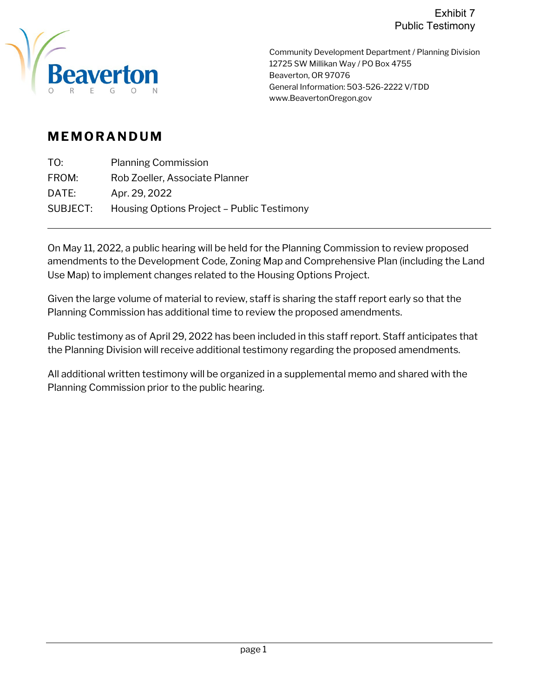

Community Development Department / Planning Division 12725 SW Millikan Way / PO Box 4755 Beaverton, OR 97076 General Information: 503-526-2222 V/TDD www.BeavertonOregon.gov

## **MEMORANDUM**

| TO:      | <b>Planning Commission</b>                 |
|----------|--------------------------------------------|
| FROM:    | Rob Zoeller, Associate Planner             |
| DATE:    | Apr. 29, 2022                              |
| SUBJECT: | Housing Options Project - Public Testimony |

On May 11, 2022, a public hearing will be held for the Planning Commission to review proposed amendments to the Development Code, Zoning Map and Comprehensive Plan (including the Land Use Map) to implement changes related to the Housing Options Project.

Given the large volume of material to review, staff is sharing the staff report early so that the Planning Commission has additional time to review the proposed amendments.

Public testimony as of April 29, 2022 has been included in this staff report. Staff anticipates that the Planning Division will receive additional testimony regarding the proposed amendments.

All additional written testimony will be organized in a supplemental memo and shared with the Planning Commission prior to the public hearing.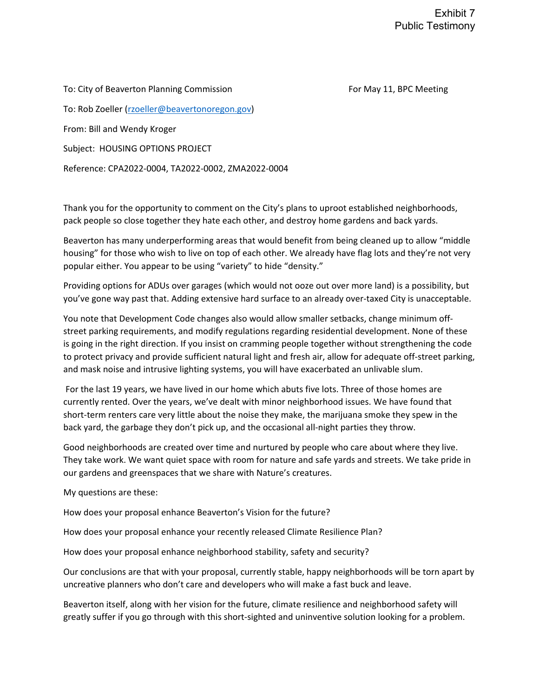To: City of Beaverton Planning Commission For May 11, BPC Meeting To: Rob Zoeller [\(rzoeller@beavertonoregon.gov\)](mailto:rzoeller@beavertonoregon.gov) From: Bill and Wendy Kroger Subject: HOUSING OPTIONS PROJECT Reference: CPA2022-0004, TA2022-0002, ZMA2022-0004

Thank you for the opportunity to comment on the City's plans to uproot established neighborhoods, pack people so close together they hate each other, and destroy home gardens and back yards.

Beaverton has many underperforming areas that would benefit from being cleaned up to allow "middle housing" for those who wish to live on top of each other. We already have flag lots and they're not very popular either. You appear to be using "variety" to hide "density."

Providing options for ADUs over garages (which would not ooze out over more land) is a possibility, but you've gone way past that. Adding extensive hard surface to an already over-taxed City is unacceptable.

You note that Development Code changes also would allow smaller setbacks, change minimum offstreet parking requirements, and modify regulations regarding residential development. None of these is going in the right direction. If you insist on cramming people together without strengthening the code to protect privacy and provide sufficient natural light and fresh air, allow for adequate off-street parking, and mask noise and intrusive lighting systems, you will have exacerbated an unlivable slum.

For the last 19 years, we have lived in our home which abuts five lots. Three of those homes are currently rented. Over the years, we've dealt with minor neighborhood issues. We have found that short-term renters care very little about the noise they make, the marijuana smoke they spew in the back yard, the garbage they don't pick up, and the occasional all-night parties they throw.

Good neighborhoods are created over time and nurtured by people who care about where they live. They take work. We want quiet space with room for nature and safe yards and streets. We take pride in our gardens and greenspaces that we share with Nature's creatures.

My questions are these:

How does your proposal enhance Beaverton's Vision for the future?

How does your proposal enhance your recently released Climate Resilience Plan?

How does your proposal enhance neighborhood stability, safety and security?

Our conclusions are that with your proposal, currently stable, happy neighborhoods will be torn apart by uncreative planners who don't care and developers who will make a fast buck and leave.

Beaverton itself, along with her vision for the future, climate resilience and neighborhood safety will greatly suffer if you go through with this short-sighted and uninventive solution looking for a problem.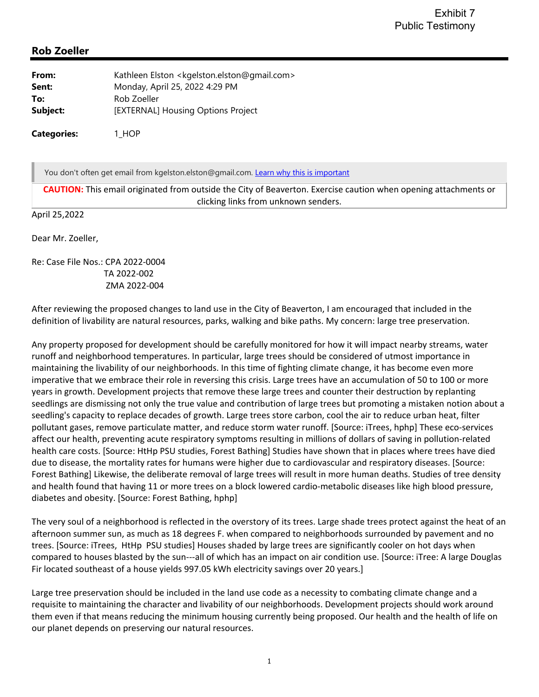## **Rob Zoeller**

| From:    | Kathleen Elston <kgelston.elston@gmail.com></kgelston.elston@gmail.com> |
|----------|-------------------------------------------------------------------------|
| Sent:    | Monday, April 25, 2022 4:29 PM                                          |
| To:      | Rob Zoeller                                                             |
| Subject: | [EXTERNAL] Housing Options Project                                      |
|          |                                                                         |

**Categories:** 1\_HOP

You don't often get email from kgelston.elston@gmail.com. Learn why this is important

**CAUTION:** This email originated from outside the City of Beaverton. Exercise caution when opening attachments or clicking links from unknown senders.

April 25,2022

Dear Mr. Zoeller,

Re: Case File Nos.: CPA 2022‐0004 TA 2022‐002 ZMA 2022‐004

After reviewing the proposed changes to land use in the City of Beaverton, I am encouraged that included in the definition of livability are natural resources, parks, walking and bike paths. My concern: large tree preservation.

Any property proposed for development should be carefully monitored for how it will impact nearby streams, water runoff and neighborhood temperatures. In particular, large trees should be considered of utmost importance in maintaining the livability of our neighborhoods. In this time of fighting climate change, it has become even more imperative that we embrace their role in reversing this crisis. Large trees have an accumulation of 50 to 100 or more years in growth. Development projects that remove these large trees and counter their destruction by replanting seedlings are dismissing not only the true value and contribution of large trees but promoting a mistaken notion about a seedling's capacity to replace decades of growth. Large trees store carbon, cool the air to reduce urban heat, filter pollutant gases, remove particulate matter, and reduce storm water runoff. [Source: iTrees, hphp] These eco‐services affect our health, preventing acute respiratory symptoms resulting in millions of dollars of saving in pollution‐related health care costs. [Source: HtHp PSU studies, Forest Bathing] Studies have shown that in places where trees have died due to disease, the mortality rates for humans were higher due to cardiovascular and respiratory diseases. [Source: Forest Bathing] Likewise, the deliberate removal of large trees will result in more human deaths. Studies of tree density and health found that having 11 or more trees on a block lowered cardio-metabolic diseases like high blood pressure, diabetes and obesity. [Source: Forest Bathing, hphp]

The very soul of a neighborhood is reflected in the overstory of its trees. Large shade trees protect against the heat of an afternoon summer sun, as much as 18 degrees F. when compared to neighborhoods surrounded by pavement and no trees. [Source: iTrees, HtHp PSU studies] Houses shaded by large trees are significantly cooler on hot days when compared to houses blasted by the sun‐‐‐all of which has an impact on air condition use. [Source: iTree: A large Douglas Fir located southeast of a house yields 997.05 kWh electricity savings over 20 years.]

Large tree preservation should be included in the land use code as a necessity to combating climate change and a requisite to maintaining the character and livability of our neighborhoods. Development projects should work around them even if that means reducing the minimum housing currently being proposed. Our health and the health of life on our planet depends on preserving our natural resources.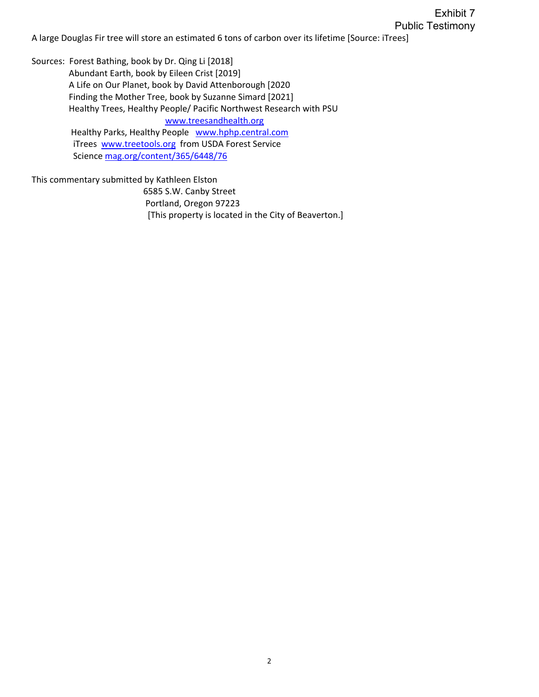A large Douglas Fir tree will store an estimated 6 tons of carbon over its lifetime [Source: iTrees]

Sources: Forest Bathing, book by Dr. Qing Li [2018] Abundant Earth, book by Eileen Crist [2019] A Life on Our Planet, book by David Attenborough [2020 Finding the Mother Tree, book by Suzanne Simard [2021] Healthy Trees, Healthy People/ Pacific Northwest Research with PSU www.treesandhealth.org Healthy Parks, Healthy People www.hphp.central.com iTrees www.treetools.org from USDA Forest Service Science mag.org/content/365/6448/76

This commentary submitted by Kathleen Elston 6585 S.W. Canby Street Portland, Oregon 97223 [This property is located in the City of Beaverton.]